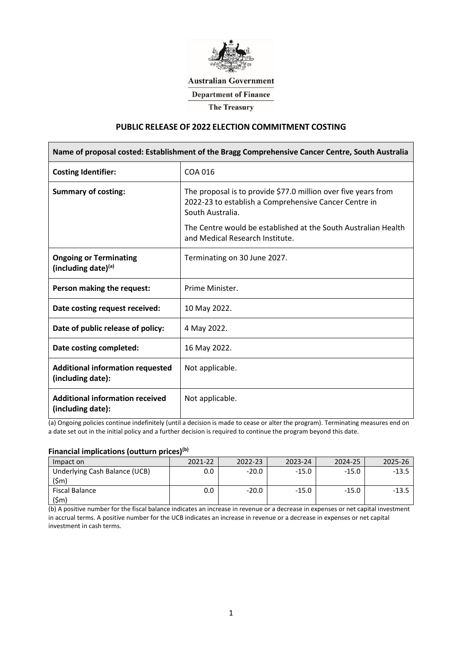

#### **Australian Government**

**Department of Finance** 

**The Treasury** 

# **PUBLIC RELEASE OF 2022 ELECTION COMMITMENT COSTING**

| Name of proposal costed: Establishment of the Bragg Comprehensive Cancer Centre, South Australia |                                                                                                                                                                                                                                                  |  |  |  |  |
|--------------------------------------------------------------------------------------------------|--------------------------------------------------------------------------------------------------------------------------------------------------------------------------------------------------------------------------------------------------|--|--|--|--|
| <b>Costing Identifier:</b>                                                                       | COA 016                                                                                                                                                                                                                                          |  |  |  |  |
| <b>Summary of costing:</b>                                                                       | The proposal is to provide \$77.0 million over five years from<br>2022-23 to establish a Comprehensive Cancer Centre in<br>South Australia.<br>The Centre would be established at the South Australian Health<br>and Medical Research Institute. |  |  |  |  |
| <b>Ongoing or Terminating</b><br>(including date)(a)                                             | Terminating on 30 June 2027.                                                                                                                                                                                                                     |  |  |  |  |
| Person making the request:                                                                       | Prime Minister.                                                                                                                                                                                                                                  |  |  |  |  |
| Date costing request received:                                                                   | 10 May 2022.                                                                                                                                                                                                                                     |  |  |  |  |
| Date of public release of policy:                                                                | 4 May 2022.                                                                                                                                                                                                                                      |  |  |  |  |
| Date costing completed:                                                                          | 16 May 2022.                                                                                                                                                                                                                                     |  |  |  |  |
| <b>Additional information requested</b><br>(including date):                                     | Not applicable.                                                                                                                                                                                                                                  |  |  |  |  |
| <b>Additional information received</b><br>(including date):                                      | Not applicable.                                                                                                                                                                                                                                  |  |  |  |  |

(a) Ongoing policies continue indefinitely (until a decision is made to cease or alter the program). Terminating measures end on a date set out in the initial policy and a further decision is required to continue the program beyond this date.

# **Financial implications (outturn prices)(b)**

| Impact on                              | 2021-22 | 2022-23 | 2023-24 | 2024-25 | 2025-26 |
|----------------------------------------|---------|---------|---------|---------|---------|
| Underlying Cash Balance (UCB)<br>(\$m) |         |         | -15.0   | -15.0   |         |
| Fiscal Balance                         |         |         | -1511   | -15.0   |         |
| (\$m`                                  |         |         |         |         |         |

(b) A positive number for the fiscal balance indicates an increase in revenue or a decrease in expenses or net capital investment in accrual terms. A positive number for the UCB indicates an increase in revenue or a decrease in expenses or net capital investment in cash terms.